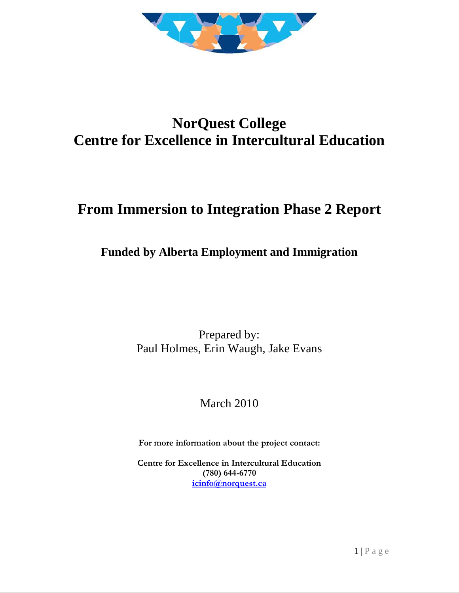

# **NorQuest College Centre for Excellence in Intercultural Education**

# **From Immersion to Integration Phase 2 Report**

# **Funded by Alberta Employment and Immigration**

Prepared by: Paul Holmes, Erin Waugh, Jake Evans

# March 2010

**For more information about the project contact:**

**Centre for Excellence in Intercultural Education (780) 644-6770 [icinfo@norquest.ca](mailto:icinfo@norquest.ca)**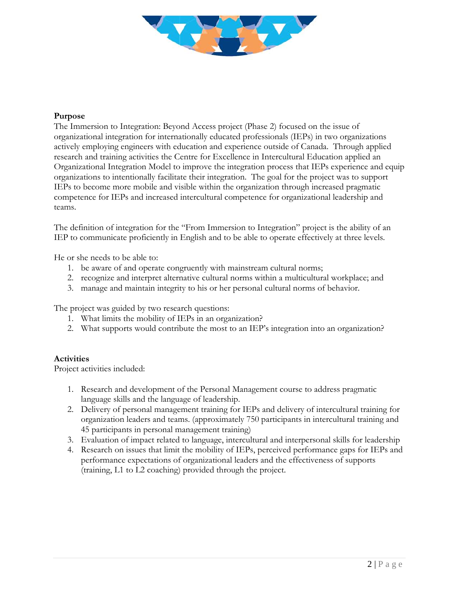

### **Purpose**

The Immersion to Integration: Beyond Access project (Phase 2) focused on the issue of organizational integration for internationally educated professionals (IEPs) in two organizations actively employing engineers with education and experience outside of Canada. Through applied research and training activities the Centre for Excellence in Intercultural Education applied an Organizational Integration Model to improve the integration process that IEPs experience and equip organizations to intentionally facilitate their integration. The goal for the project was to support IEPs to become more mobile and visible within the organization through increased pragmatic competence for IEPs and increased intercultural competence for organizational leadership and teams.

The definition of integration for the "From Immersion to Integration" project is the ability of an IEP to communicate proficiently in English and to be able to operate effectively at three levels.

He or she needs to be able to:

- 1. be aware of and operate congruently with mainstream cultural norms;
- 2. recognize and interpret alternative cultural norms within a multicultural workplace; and
- 3. manage and maintain integrity to his or her personal cultural norms of behavior.

The project was guided by two research questions:

- 1. What limits the mobility of IEPs in an organization?
- 2. What supports would contribute the most to an IEP's integration into an organization?

#### **Activities**

Project activities included:

- 1. Research and development of the Personal Management course to address pragmatic language skills and the language of leadership.
- 2. Delivery of personal management training for IEPs and delivery of intercultural training for organization leaders and teams. (approximately 750 participants in intercultural training and 45 participants in personal management training)
- 3. Evaluation of impact related to language, intercultural and interpersonal skills for leadership
- 4. Research on issues that limit the mobility of IEPs, perceived performance gaps for IEPs and performance expectations of organizational leaders and the effectiveness of supports (training, L1 to L2 coaching) provided through the project.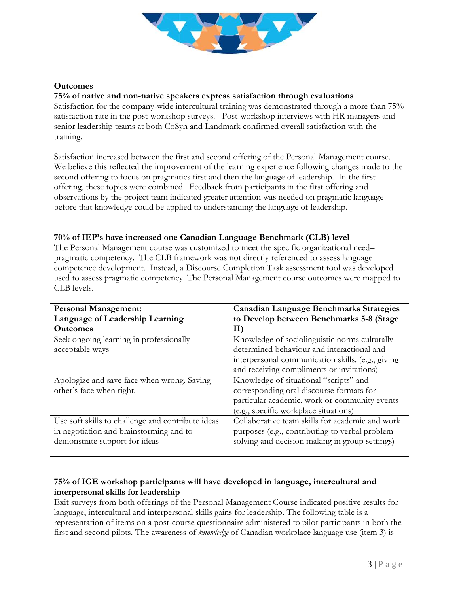

#### **Outcomes**

#### **75% of native and non-native speakers express satisfaction through evaluations**

Satisfaction for the company-wide intercultural training was demonstrated through a more than 75% satisfaction rate in the post-workshop surveys. Post-workshop interviews with HR managers and senior leadership teams at both CoSyn and Landmark confirmed overall satisfaction with the training.

Satisfaction increased between the first and second offering of the Personal Management course. We believe this reflected the improvement of the learning experience following changes made to the second offering to focus on pragmatics first and then the language of leadership. In the first offering, these topics were combined. Feedback from participants in the first offering and observations by the project team indicated greater attention was needed on pragmatic language before that knowledge could be applied to understanding the language of leadership.

#### **70% of IEP's have increased one Canadian Language Benchmark (CLB) level**

The Personal Management course was customized to meet the specific organizational need– pragmatic competency. The CLB framework was not directly referenced to assess language competence development. Instead, a Discourse Completion Task assessment tool was developed used to assess pragmatic competency. The Personal Management course outcomes were mapped to CLB levels.

| <b>Personal Management:</b>                       | <b>Canadian Language Benchmarks Strategies</b>    |  |
|---------------------------------------------------|---------------------------------------------------|--|
| Language of Leadership Learning                   | to Develop between Benchmarks 5-8 (Stage          |  |
| <b>Outcomes</b>                                   | Н                                                 |  |
| Seek ongoing learning in professionally           | Knowledge of sociolinguistic norms culturally     |  |
| acceptable ways                                   | determined behaviour and interactional and        |  |
|                                                   | interpersonal communication skills. (e.g., giving |  |
|                                                   | and receiving compliments or invitations)         |  |
| Apologize and save face when wrong. Saving        | Knowledge of situational "scripts" and            |  |
| other's face when right.                          | corresponding oral discourse formats for          |  |
|                                                   | particular academic, work or community events     |  |
|                                                   | (e.g., specific workplace situations)             |  |
| Use soft skills to challenge and contribute ideas | Collaborative team skills for academic and work   |  |
| in negotiation and brainstorming and to           | purposes (e.g., contributing to verbal problem    |  |
| demonstrate support for ideas                     | solving and decision making in group settings)    |  |
|                                                   |                                                   |  |

## **75% of IGE workshop participants will have developed in language, intercultural and interpersonal skills for leadership**

Exit surveys from both offerings of the Personal Management Course indicated positive results for language, intercultural and interpersonal skills gains for leadership. The following table is a representation of items on a post-course questionnaire administered to pilot participants in both the first and second pilots. The awareness of *knowledge* of Canadian workplace language use (item 3) is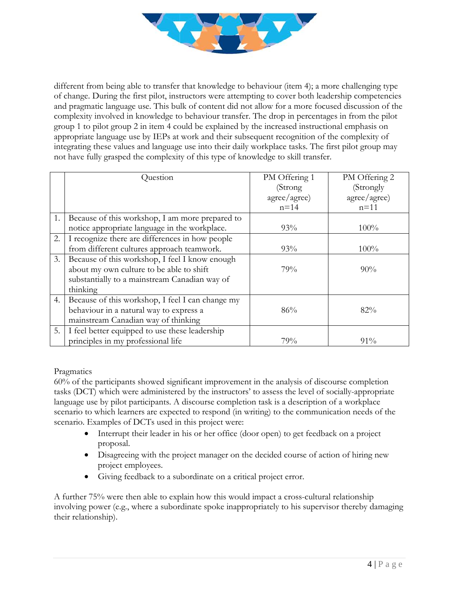

different from being able to transfer that knowledge to behaviour (item 4); a more challenging type of change. During the first pilot, instructors were attempting to cover both leadership competencies and pragmatic language use. This bulk of content did not allow for a more focused discussion of the complexity involved in knowledge to behaviour transfer. The drop in percentages in from the pilot group 1 to pilot group 2 in item 4 could be explained by the increased instructional emphasis on appropriate language use by IEPs at work and their subsequent recognition of the complexity of integrating these values and language use into their daily workplace tasks. The first pilot group may not have fully grasped the complexity of this type of knowledge to skill transfer.

|    | Question                                         | PM Offering 1 | PM Offering 2 |
|----|--------------------------------------------------|---------------|---------------|
|    |                                                  | (Strong       | (Strongly     |
|    |                                                  | agree/agree)  | agree/agree)  |
|    |                                                  | $n=14$        | $n = 11$      |
| 1. | Because of this workshop, I am more prepared to  |               |               |
|    | notice appropriate language in the workplace.    | 93%           | $100\%$       |
| 2. | I recognize there are differences in how people  |               |               |
|    | from different cultures approach teamwork.       | 93%           | $100\%$       |
| 3. | Because of this workshop, I feel I know enough   |               |               |
|    | about my own culture to be able to shift         | 79%           | $90\%$        |
|    | substantially to a mainstream Canadian way of    |               |               |
|    | thinking                                         |               |               |
| 4. | Because of this workshop, I feel I can change my |               |               |
|    | behaviour in a natural way to express a          | 86%           | 82%           |
|    | mainstream Canadian way of thinking              |               |               |
| 5. | I feel better equipped to use these leadership   |               |               |
|    | principles in my professional life               | 79%           | 91%           |

#### Pragmatics

60% of the participants showed significant improvement in the analysis of discourse completion tasks (DCT) which were administered by the instructors' to assess the level of socially-appropriate language use by pilot participants. A discourse completion task is a description of a workplace scenario to which learners are expected to respond (in writing) to the communication needs of the scenario. Examples of DCTs used in this project were:

- Interrupt their leader in his or her office (door open) to get feedback on a project proposal.
- Disagreeing with the project manager on the decided course of action of hiring new project employees.
- Giving feedback to a subordinate on a critical project error.

A further 75% were then able to explain how this would impact a cross-cultural relationship involving power (e.g., where a subordinate spoke inappropriately to his supervisor thereby damaging their relationship).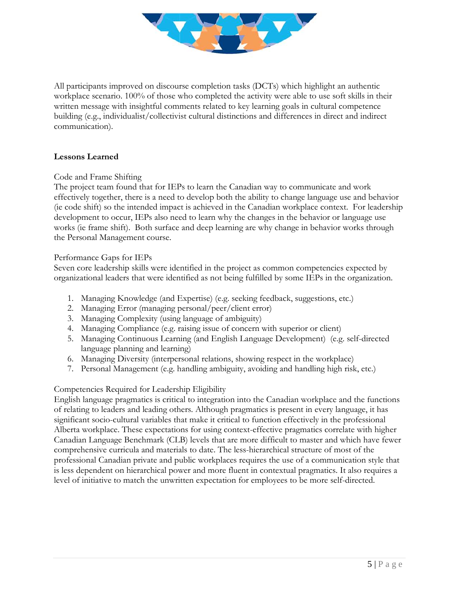

All participants improved on discourse completion tasks (DCTs) which highlight an authentic workplace scenario. 100% of those who completed the activity were able to use soft skills in their written message with insightful comments related to key learning goals in cultural competence building (e.g., individualist/collectivist cultural distinctions and differences in direct and indirect communication).

## **Lessons Learned**

Code and Frame Shifting

The project team found that for IEPs to learn the Canadian way to communicate and work effectively together, there is a need to develop both the ability to change language use and behavior (ie code shift) so the intended impact is achieved in the Canadian workplace context. For leadership development to occur, IEPs also need to learn why the changes in the behavior or language use works (ie frame shift). Both surface and deep learning are why change in behavior works through the Personal Management course.

#### Performance Gaps for IEPs

Seven core leadership skills were identified in the project as common competencies expected by organizational leaders that were identified as not being fulfilled by some IEPs in the organization.

- 1. Managing Knowledge (and Expertise) (e.g. seeking feedback, suggestions, etc.)
- 2. Managing Error (managing personal/peer/client error)
- 3. Managing Complexity (using language of ambiguity)
- 4. Managing Compliance (e.g. raising issue of concern with superior or client)
- 5. Managing Continuous Learning (and English Language Development) (e.g. self-directed language planning and learning)
- 6. Managing Diversity (interpersonal relations, showing respect in the workplace)
- 7. Personal Management (e.g. handling ambiguity, avoiding and handling high risk, etc.)

# Competencies Required for Leadership Eligibility

English language pragmatics is critical to integration into the Canadian workplace and the functions of relating to leaders and leading others. Although pragmatics is present in every language, it has significant socio-cultural variables that make it critical to function effectively in the professional Alberta workplace. These expectations for using context-effective pragmatics correlate with higher Canadian Language Benchmark (CLB) levels that are more difficult to master and which have fewer comprehensive curricula and materials to date. The less-hierarchical structure of most of the professional Canadian private and public workplaces requires the use of a communication style that is less dependent on hierarchical power and more fluent in contextual pragmatics. It also requires a level of initiative to match the unwritten expectation for employees to be more self-directed.